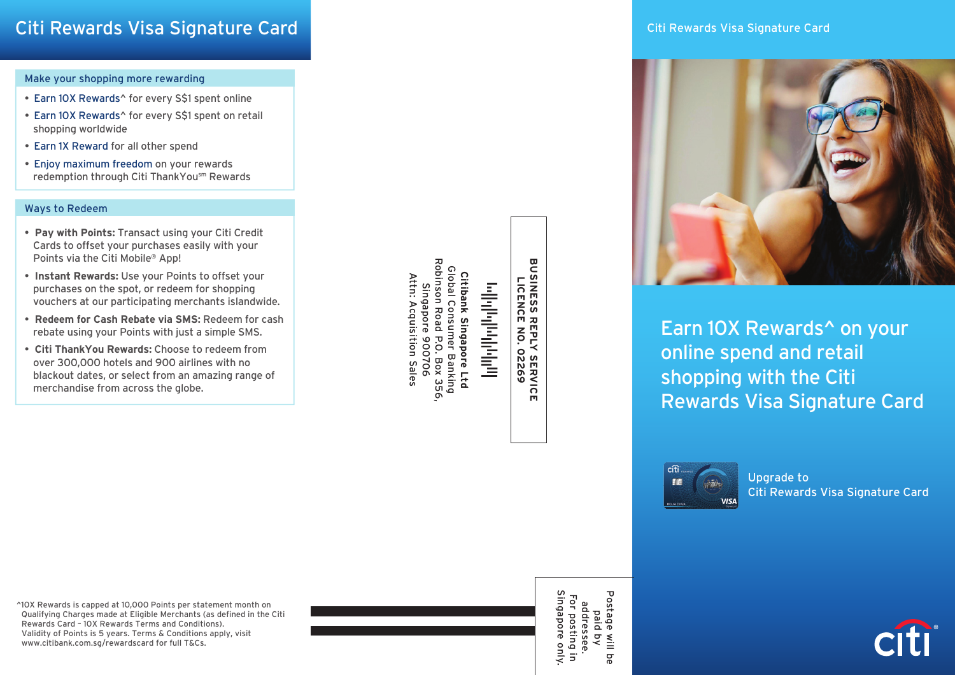## Make your shopping more rewarding

- Earn 10X Rewards^ for every S\$1 spent online
- Earn 10X Rewards^ for every S\$1 spent on retail shopping worldwide
- Earn 1X Reward for all other spend
- Enjoy maximum freedom on your rewards redemption through Citi ThankYousm Rewards

## Ways to Redeem

- • **Pay with Points:** Transact using your Citi Credit Cards to offset your purchases easily with your Points via the Citi Mobile® App!
- • **Instant Rewards:** Use your Points to offset your purchases on the spot, or redeem for shopping vouchers at our participating merchants islandwide.
- • **Redeem for Cash Rebate via SMS:** Redeem for cash rebate using your Points with just a simple SMS.
- • **Citi ThankYou Rewards:** Choose to redeem from over 300,000 hotels and 900 airlines with no blackout dates, or select from an amazing range of merchandise from across the globe.

**Robinson Road** Robinson Road P.O. Box 356, Citibank Singapore Ltd<br>Global Consumer Banking<br>obinson Road P.O. Box 356,<br>Singapore 900706 Global C Global Consumer Banking **Citibank Singapore Ltd** Attn: Acquisition Sales Attn: Acquisition Sales وبالناوباوراورانواتي Singapore 900706

**BUSINESS RI**<br>BUSINESS RI **BUSINESS REPLY SERVICE LICENCE NO. 02269 REPLY SERVICE<br>REPLY SERVICE** 



Earn 10X Rewards^ on your online spend and retail shopping with the Citi Rewards Visa Signature Card



Upgrade to Citi Rewards Visa Signature Card

^10X Rewards is capped at 10,000 Points per statement month on Qualifying Charges made at Eligible Merchants (as defined in the Citi Rewards Card – 10X Rewards Terms and Conditions). Validity of Points is 5 years. Terms & Conditions apply, visit www.citibank.com.sg/rewardscard for full T&Cs.



addressee.<br>For posting i<br>Singapore on Singapore only. Postage Postage will be For posting in addressee. paid by will be only.  $\overline{5}$